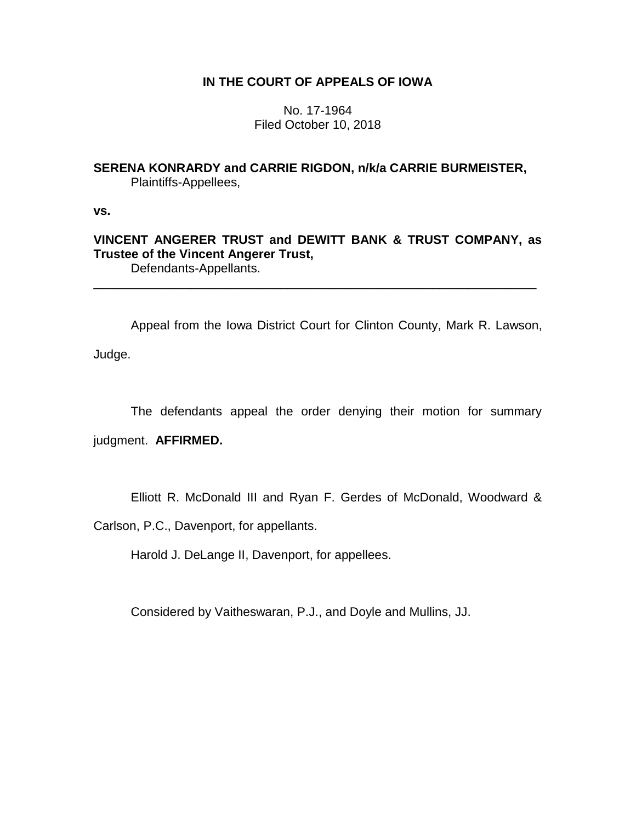## **IN THE COURT OF APPEALS OF IOWA**

No. 17-1964 Filed October 10, 2018

# **SERENA KONRARDY and CARRIE RIGDON, n/k/a CARRIE BURMEISTER,**  Plaintiffs-Appellees,

**vs.**

**VINCENT ANGERER TRUST and DEWITT BANK & TRUST COMPANY, as Trustee of the Vincent Angerer Trust,** Defendants-Appellants.

\_\_\_\_\_\_\_\_\_\_\_\_\_\_\_\_\_\_\_\_\_\_\_\_\_\_\_\_\_\_\_\_\_\_\_\_\_\_\_\_\_\_\_\_\_\_\_\_\_\_\_\_\_\_\_\_\_\_\_\_\_\_\_\_

Appeal from the Iowa District Court for Clinton County, Mark R. Lawson, Judge.

The defendants appeal the order denying their motion for summary

judgment. **AFFIRMED.**

Elliott R. McDonald III and Ryan F. Gerdes of McDonald, Woodward &

Carlson, P.C., Davenport, for appellants.

Harold J. DeLange II, Davenport, for appellees.

Considered by Vaitheswaran, P.J., and Doyle and Mullins, JJ.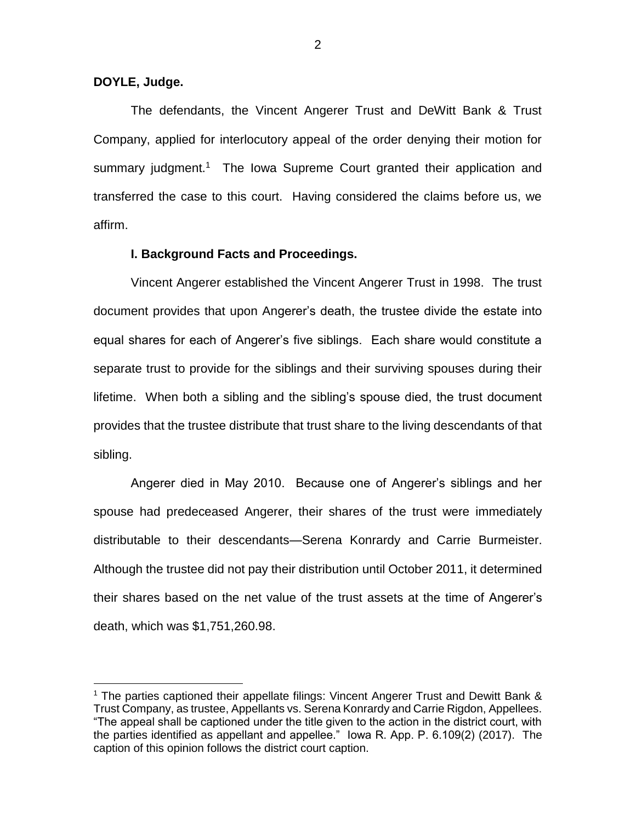### **DOYLE, Judge.**

 $\overline{a}$ 

The defendants, the Vincent Angerer Trust and DeWitt Bank & Trust Company, applied for interlocutory appeal of the order denying their motion for summary judgment.<sup>1</sup> The Iowa Supreme Court granted their application and transferred the case to this court. Having considered the claims before us, we affirm.

### **I. Background Facts and Proceedings.**

Vincent Angerer established the Vincent Angerer Trust in 1998. The trust document provides that upon Angerer's death, the trustee divide the estate into equal shares for each of Angerer's five siblings. Each share would constitute a separate trust to provide for the siblings and their surviving spouses during their lifetime. When both a sibling and the sibling's spouse died, the trust document provides that the trustee distribute that trust share to the living descendants of that sibling.

Angerer died in May 2010. Because one of Angerer's siblings and her spouse had predeceased Angerer, their shares of the trust were immediately distributable to their descendants—Serena Konrardy and Carrie Burmeister. Although the trustee did not pay their distribution until October 2011, it determined their shares based on the net value of the trust assets at the time of Angerer's death, which was \$1,751,260.98.

<sup>1</sup> The parties captioned their appellate filings: Vincent Angerer Trust and Dewitt Bank & Trust Company, as trustee, Appellants vs. Serena Konrardy and Carrie Rigdon, Appellees. "The appeal shall be captioned under the title given to the action in the district court, with the parties identified as appellant and appellee." Iowa R. App. P. 6.109(2) (2017). The caption of this opinion follows the district court caption.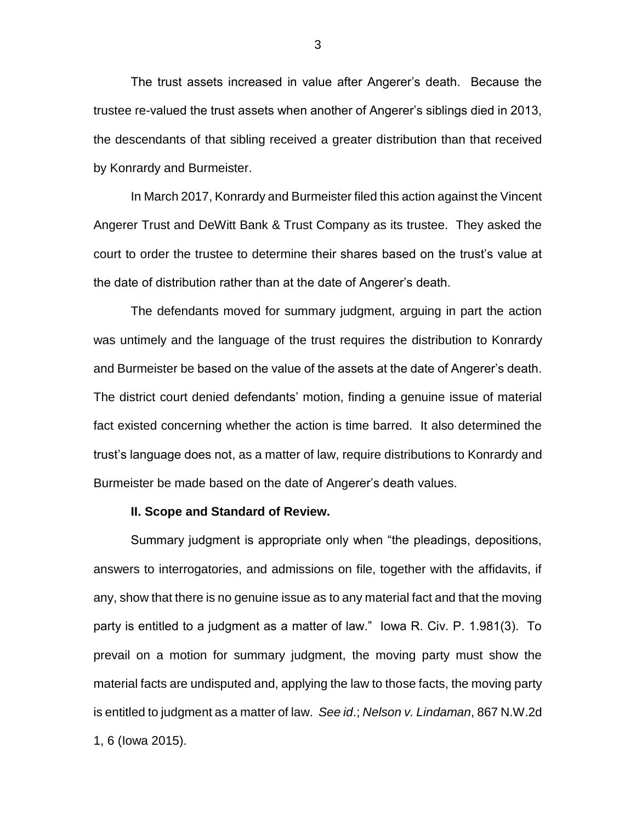The trust assets increased in value after Angerer's death. Because the trustee re-valued the trust assets when another of Angerer's siblings died in 2013, the descendants of that sibling received a greater distribution than that received by Konrardy and Burmeister.

In March 2017, Konrardy and Burmeister filed this action against the Vincent Angerer Trust and DeWitt Bank & Trust Company as its trustee. They asked the court to order the trustee to determine their shares based on the trust's value at the date of distribution rather than at the date of Angerer's death.

The defendants moved for summary judgment, arguing in part the action was untimely and the language of the trust requires the distribution to Konrardy and Burmeister be based on the value of the assets at the date of Angerer's death. The district court denied defendants' motion, finding a genuine issue of material fact existed concerning whether the action is time barred. It also determined the trust's language does not, as a matter of law, require distributions to Konrardy and Burmeister be made based on the date of Angerer's death values.

#### **II. Scope and Standard of Review.**

Summary judgment is appropriate only when "the pleadings, depositions, answers to interrogatories, and admissions on file, together with the affidavits, if any, show that there is no genuine issue as to any material fact and that the moving party is entitled to a judgment as a matter of law." Iowa R. Civ. P. 1.981(3). To prevail on a motion for summary judgment, the moving party must show the material facts are undisputed and, applying the law to those facts, the moving party is entitled to judgment as a matter of law. *See id*.; *Nelson v. Lindaman*, 867 N.W.2d 1, 6 (Iowa 2015).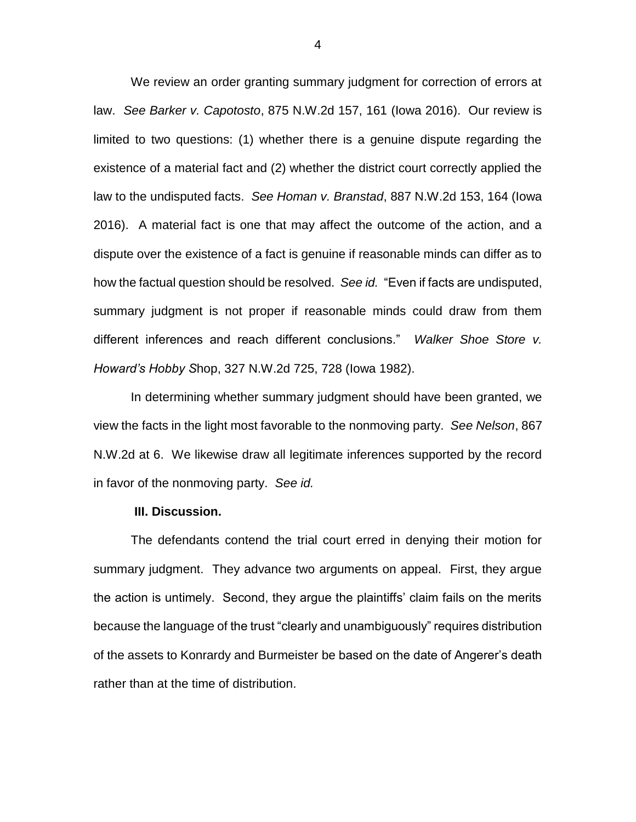We review an order granting summary judgment for correction of errors at law. *See Barker v. Capotosto*, 875 N.W.2d 157, 161 (Iowa 2016). Our review is limited to two questions: (1) whether there is a genuine dispute regarding the existence of a material fact and (2) whether the district court correctly applied the law to the undisputed facts. *See Homan v. Branstad*, 887 N.W.2d 153, 164 (Iowa 2016). A material fact is one that may affect the outcome of the action, and a dispute over the existence of a fact is genuine if reasonable minds can differ as to how the factual question should be resolved. *See id.* "Even if facts are undisputed, summary judgment is not proper if reasonable minds could draw from them different inferences and reach different conclusions." *Walker Shoe Store v. Howard's Hobby S*hop, 327 N.W.2d 725, 728 (Iowa 1982).

In determining whether summary judgment should have been granted, we view the facts in the light most favorable to the nonmoving party. *See Nelson*, 867 N.W.2d at 6. We likewise draw all legitimate inferences supported by the record in favor of the nonmoving party. *See id.*

#### **III. Discussion.**

The defendants contend the trial court erred in denying their motion for summary judgment. They advance two arguments on appeal. First, they argue the action is untimely. Second, they argue the plaintiffs' claim fails on the merits because the language of the trust "clearly and unambiguously" requires distribution of the assets to Konrardy and Burmeister be based on the date of Angerer's death rather than at the time of distribution.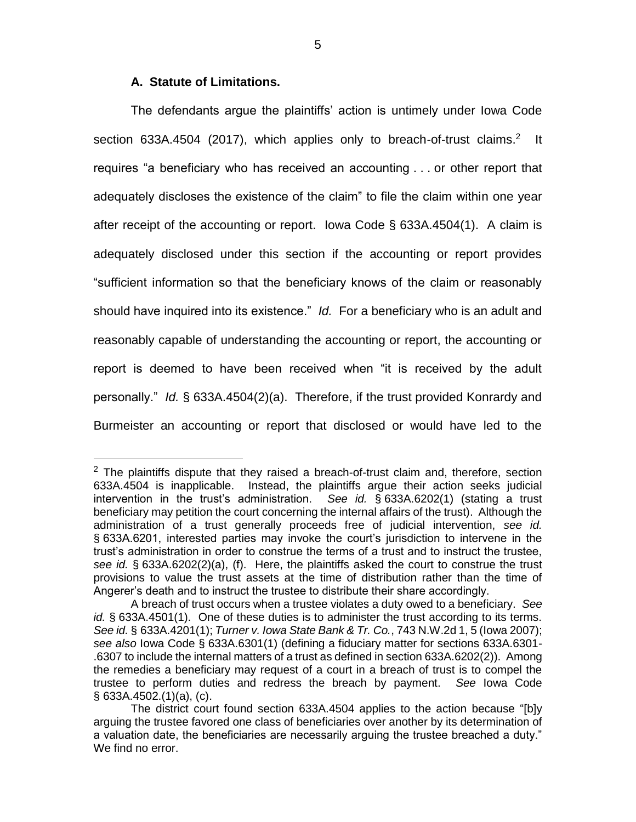## **A. Statute of Limitations.**

 $\overline{a}$ 

The defendants argue the plaintiffs' action is untimely under Iowa Code section 633A.4504 (2017), which applies only to breach-of-trust claims.<sup>2</sup> It requires "a beneficiary who has received an accounting . . . or other report that adequately discloses the existence of the claim" to file the claim within one year after receipt of the accounting or report. Iowa Code § 633A.4504(1). A claim is adequately disclosed under this section if the accounting or report provides "sufficient information so that the beneficiary knows of the claim or reasonably should have inquired into its existence." *Id.* For a beneficiary who is an adult and reasonably capable of understanding the accounting or report, the accounting or report is deemed to have been received when "it is received by the adult personally." *Id.* § 633A.4504(2)(a). Therefore, if the trust provided Konrardy and Burmeister an accounting or report that disclosed or would have led to the

 $2$  The plaintiffs dispute that they raised a breach-of-trust claim and, therefore, section 633A.4504 is inapplicable. Instead, the plaintiffs argue their action seeks judicial intervention in the trust's administration. *See id.* § 633A.6202(1) (stating a trust beneficiary may petition the court concerning the internal affairs of the trust). Although the administration of a trust generally proceeds free of judicial intervention, *see id.* § 633A.6201, interested parties may invoke the court's jurisdiction to intervene in the trust's administration in order to construe the terms of a trust and to instruct the trustee, *see id.* § 633A.6202(2)(a), (f). Here, the plaintiffs asked the court to construe the trust provisions to value the trust assets at the time of distribution rather than the time of Angerer's death and to instruct the trustee to distribute their share accordingly.

A breach of trust occurs when a trustee violates a duty owed to a beneficiary. *See id.* § 633A.4501(1). One of these duties is to administer the trust according to its terms. *See id.* § 633A.4201(1); *Turner v. Iowa State Bank & Tr. Co.*, 743 N.W.2d 1, 5 (Iowa 2007); *see also* Iowa Code § 633A.6301(1) (defining a fiduciary matter for sections 633A.6301- .6307 to include the internal matters of a trust as defined in section 633A.6202(2)). Among the remedies a beneficiary may request of a court in a breach of trust is to compel the trustee to perform duties and redress the breach by payment. *See* Iowa Code § 633A.4502.(1)(a), (c).

The district court found section 633A.4504 applies to the action because "[b]y arguing the trustee favored one class of beneficiaries over another by its determination of a valuation date, the beneficiaries are necessarily arguing the trustee breached a duty." We find no error.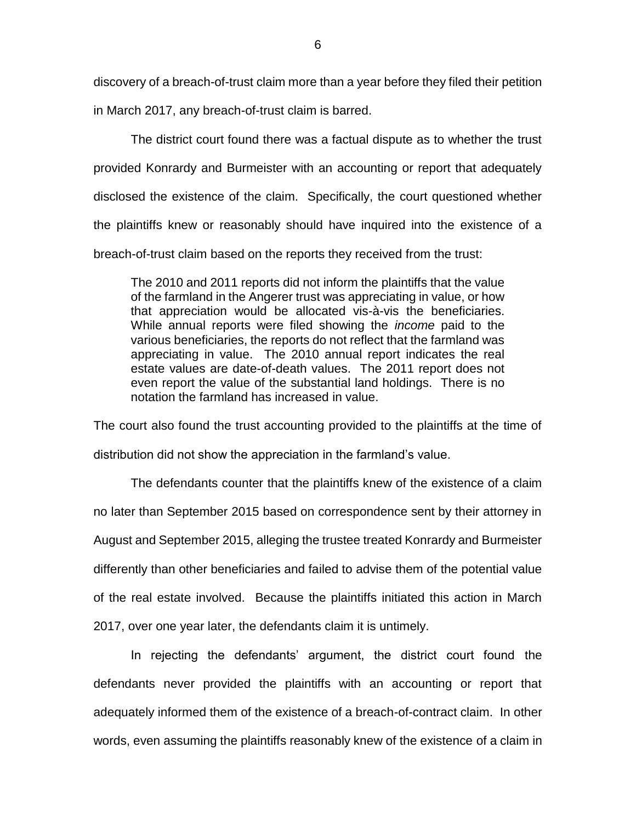discovery of a breach-of-trust claim more than a year before they filed their petition in March 2017, any breach-of-trust claim is barred.

The district court found there was a factual dispute as to whether the trust provided Konrardy and Burmeister with an accounting or report that adequately disclosed the existence of the claim. Specifically, the court questioned whether the plaintiffs knew or reasonably should have inquired into the existence of a breach-of-trust claim based on the reports they received from the trust:

The 2010 and 2011 reports did not inform the plaintiffs that the value of the farmland in the Angerer trust was appreciating in value, or how that appreciation would be allocated vis-à-vis the beneficiaries. While annual reports were filed showing the *income* paid to the various beneficiaries, the reports do not reflect that the farmland was appreciating in value. The 2010 annual report indicates the real estate values are date-of-death values. The 2011 report does not even report the value of the substantial land holdings. There is no notation the farmland has increased in value.

The court also found the trust accounting provided to the plaintiffs at the time of distribution did not show the appreciation in the farmland's value.

The defendants counter that the plaintiffs knew of the existence of a claim no later than September 2015 based on correspondence sent by their attorney in August and September 2015, alleging the trustee treated Konrardy and Burmeister differently than other beneficiaries and failed to advise them of the potential value of the real estate involved. Because the plaintiffs initiated this action in March 2017, over one year later, the defendants claim it is untimely.

In rejecting the defendants' argument, the district court found the defendants never provided the plaintiffs with an accounting or report that adequately informed them of the existence of a breach-of-contract claim. In other words, even assuming the plaintiffs reasonably knew of the existence of a claim in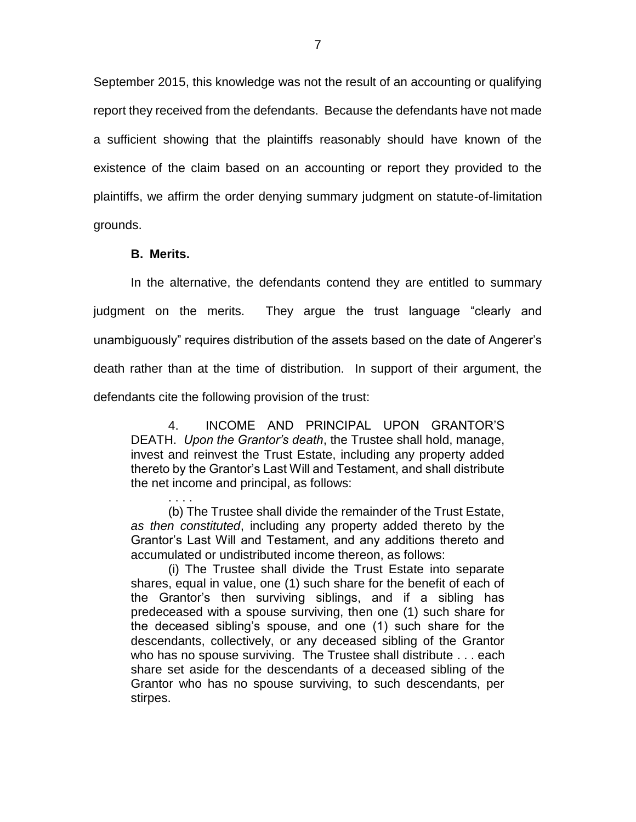September 2015, this knowledge was not the result of an accounting or qualifying report they received from the defendants. Because the defendants have not made a sufficient showing that the plaintiffs reasonably should have known of the existence of the claim based on an accounting or report they provided to the plaintiffs, we affirm the order denying summary judgment on statute-of-limitation grounds.

### **B. Merits.**

In the alternative, the defendants contend they are entitled to summary judgment on the merits. They argue the trust language "clearly and unambiguously" requires distribution of the assets based on the date of Angerer's death rather than at the time of distribution. In support of their argument, the defendants cite the following provision of the trust:

4. INCOME AND PRINCIPAL UPON GRANTOR'S DEATH. *Upon the Grantor's death*, the Trustee shall hold, manage, invest and reinvest the Trust Estate, including any property added thereto by the Grantor's Last Will and Testament, and shall distribute the net income and principal, as follows:

. . . . (b) The Trustee shall divide the remainder of the Trust Estate, *as then constituted*, including any property added thereto by the Grantor's Last Will and Testament, and any additions thereto and accumulated or undistributed income thereon, as follows:

(i) The Trustee shall divide the Trust Estate into separate shares, equal in value, one (1) such share for the benefit of each of the Grantor's then surviving siblings, and if a sibling has predeceased with a spouse surviving, then one (1) such share for the deceased sibling's spouse, and one (1) such share for the descendants, collectively, or any deceased sibling of the Grantor who has no spouse surviving. The Trustee shall distribute . . . each share set aside for the descendants of a deceased sibling of the Grantor who has no spouse surviving, to such descendants, per stirpes.